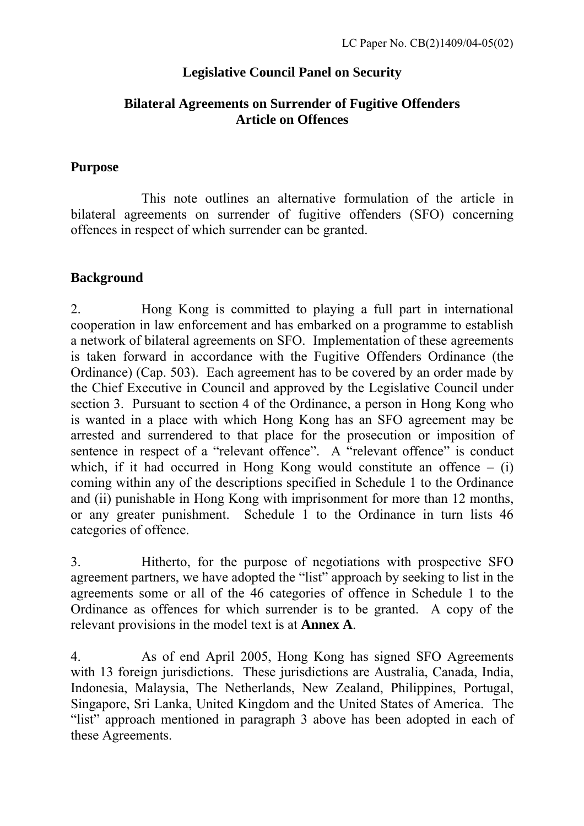# **Legislative Council Panel on Security**

### **Bilateral Agreements on Surrender of Fugitive Offenders Article on Offences**

### **Purpose**

 This note outlines an alternative formulation of the article in bilateral agreements on surrender of fugitive offenders (SFO) concerning offences in respect of which surrender can be granted.

# **Background**

2. Hong Kong is committed to playing a full part in international cooperation in law enforcement and has embarked on a programme to establish a network of bilateral agreements on SFO. Implementation of these agreements is taken forward in accordance with the Fugitive Offenders Ordinance (the Ordinance) (Cap. 503). Each agreement has to be covered by an order made by the Chief Executive in Council and approved by the Legislative Council under section 3. Pursuant to section 4 of the Ordinance, a person in Hong Kong who is wanted in a place with which Hong Kong has an SFO agreement may be arrested and surrendered to that place for the prosecution or imposition of sentence in respect of a "relevant offence". A "relevant offence" is conduct which, if it had occurred in Hong Kong would constitute an offence  $-$  (i) coming within any of the descriptions specified in Schedule 1 to the Ordinance and (ii) punishable in Hong Kong with imprisonment for more than 12 months, or any greater punishment. Schedule 1 to the Ordinance in turn lists 46 categories of offence.

3. Hitherto, for the purpose of negotiations with prospective SFO agreement partners, we have adopted the "list" approach by seeking to list in the agreements some or all of the 46 categories of offence in Schedule 1 to the Ordinance as offences for which surrender is to be granted. A copy of the relevant provisions in the model text is at **Annex A**.

4. As of end April 2005, Hong Kong has signed SFO Agreements with 13 foreign jurisdictions. These jurisdictions are Australia, Canada, India, Indonesia, Malaysia, The Netherlands, New Zealand, Philippines, Portugal, Singapore, Sri Lanka, United Kingdom and the United States of America. The "list" approach mentioned in paragraph 3 above has been adopted in each of these Agreements.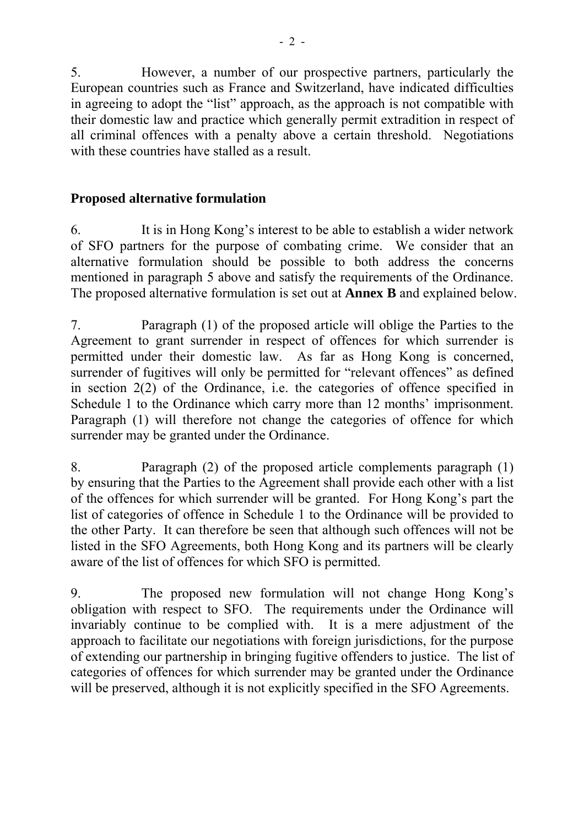5. However, a number of our prospective partners, particularly the European countries such as France and Switzerland, have indicated difficulties in agreeing to adopt the "list" approach, as the approach is not compatible with their domestic law and practice which generally permit extradition in respect of all criminal offences with a penalty above a certain threshold. Negotiations with these countries have stalled as a result.

## **Proposed alternative formulation**

6. It is in Hong Kong's interest to be able to establish a wider network of SFO partners for the purpose of combating crime. We consider that an alternative formulation should be possible to both address the concerns mentioned in paragraph 5 above and satisfy the requirements of the Ordinance. The proposed alternative formulation is set out at **Annex B** and explained below.

7. Paragraph (1) of the proposed article will oblige the Parties to the Agreement to grant surrender in respect of offences for which surrender is permitted under their domestic law. As far as Hong Kong is concerned, surrender of fugitives will only be permitted for "relevant offences" as defined in section 2(2) of the Ordinance, i.e. the categories of offence specified in Schedule 1 to the Ordinance which carry more than 12 months' imprisonment. Paragraph (1) will therefore not change the categories of offence for which surrender may be granted under the Ordinance.

8. Paragraph (2) of the proposed article complements paragraph (1) by ensuring that the Parties to the Agreement shall provide each other with a list of the offences for which surrender will be granted. For Hong Kong's part the list of categories of offence in Schedule 1 to the Ordinance will be provided to the other Party. It can therefore be seen that although such offences will not be listed in the SFO Agreements, both Hong Kong and its partners will be clearly aware of the list of offences for which SFO is permitted.

9. The proposed new formulation will not change Hong Kong's obligation with respect to SFO. The requirements under the Ordinance will invariably continue to be complied with. It is a mere adjustment of the approach to facilitate our negotiations with foreign jurisdictions, for the purpose of extending our partnership in bringing fugitive offenders to justice. The list of categories of offences for which surrender may be granted under the Ordinance will be preserved, although it is not explicitly specified in the SFO Agreements.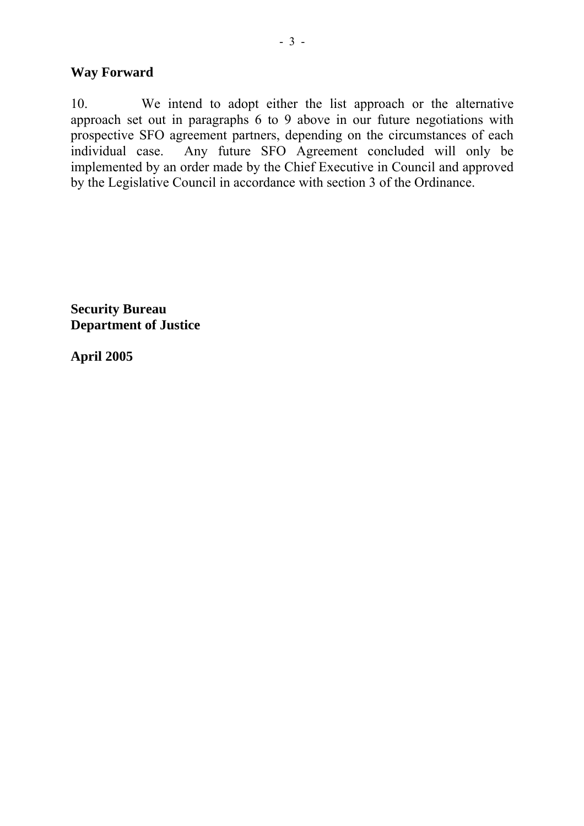### **Way Forward**

10. We intend to adopt either the list approach or the alternative approach set out in paragraphs 6 to 9 above in our future negotiations with prospective SFO agreement partners, depending on the circumstances of each individual case. Any future SFO Agreement concluded will only be implemented by an order made by the Chief Executive in Council and approved by the Legislative Council in accordance with section 3 of the Ordinance.

**Security Bureau Department of Justice** 

**April 2005**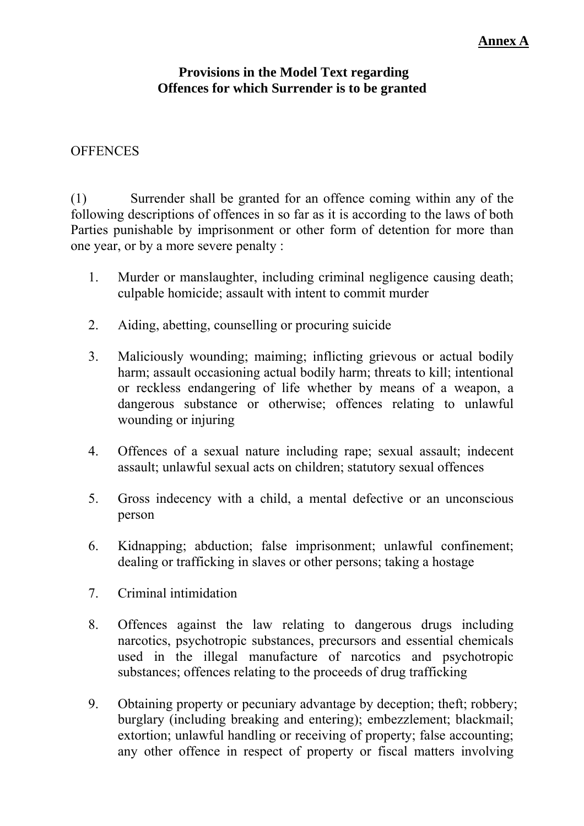#### **Provisions in the Model Text regarding Offences for which Surrender is to be granted**

### **OFFENCES**

(1) Surrender shall be granted for an offence coming within any of the following descriptions of offences in so far as it is according to the laws of both Parties punishable by imprisonment or other form of detention for more than one year, or by a more severe penalty :

- 1. Murder or manslaughter, including criminal negligence causing death; culpable homicide; assault with intent to commit murder
- 2. Aiding, abetting, counselling or procuring suicide
- 3. Maliciously wounding; maiming; inflicting grievous or actual bodily harm; assault occasioning actual bodily harm; threats to kill; intentional or reckless endangering of life whether by means of a weapon, a dangerous substance or otherwise; offences relating to unlawful wounding or injuring
- 4. Offences of a sexual nature including rape; sexual assault; indecent assault; unlawful sexual acts on children; statutory sexual offences
- 5. Gross indecency with a child, a mental defective or an unconscious person
- 6. Kidnapping; abduction; false imprisonment; unlawful confinement; dealing or trafficking in slaves or other persons; taking a hostage
- 7. Criminal intimidation
- 8. Offences against the law relating to dangerous drugs including narcotics, psychotropic substances, precursors and essential chemicals used in the illegal manufacture of narcotics and psychotropic substances; offences relating to the proceeds of drug trafficking
- 9. Obtaining property or pecuniary advantage by deception; theft; robbery; burglary (including breaking and entering); embezzlement; blackmail; extortion; unlawful handling or receiving of property; false accounting; any other offence in respect of property or fiscal matters involving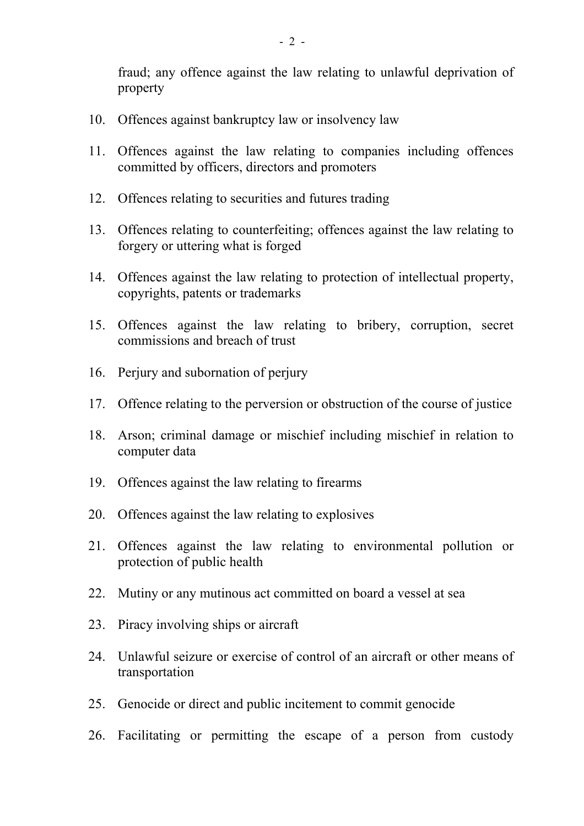fraud; any offence against the law relating to unlawful deprivation of property

- 10. Offences against bankruptcy law or insolvency law
- 11. Offences against the law relating to companies including offences committed by officers, directors and promoters
- 12. Offences relating to securities and futures trading
- 13. Offences relating to counterfeiting; offences against the law relating to forgery or uttering what is forged
- 14. Offences against the law relating to protection of intellectual property, copyrights, patents or trademarks
- 15. Offences against the law relating to bribery, corruption, secret commissions and breach of trust
- 16. Perjury and subornation of perjury
- 17. Offence relating to the perversion or obstruction of the course of justice
- 18. Arson; criminal damage or mischief including mischief in relation to computer data
- 19. Offences against the law relating to firearms
- 20. Offences against the law relating to explosives
- 21. Offences against the law relating to environmental pollution or protection of public health
- 22. Mutiny or any mutinous act committed on board a vessel at sea
- 23. Piracy involving ships or aircraft
- 24. Unlawful seizure or exercise of control of an aircraft or other means of transportation
- 25. Genocide or direct and public incitement to commit genocide
- 26. Facilitating or permitting the escape of a person from custody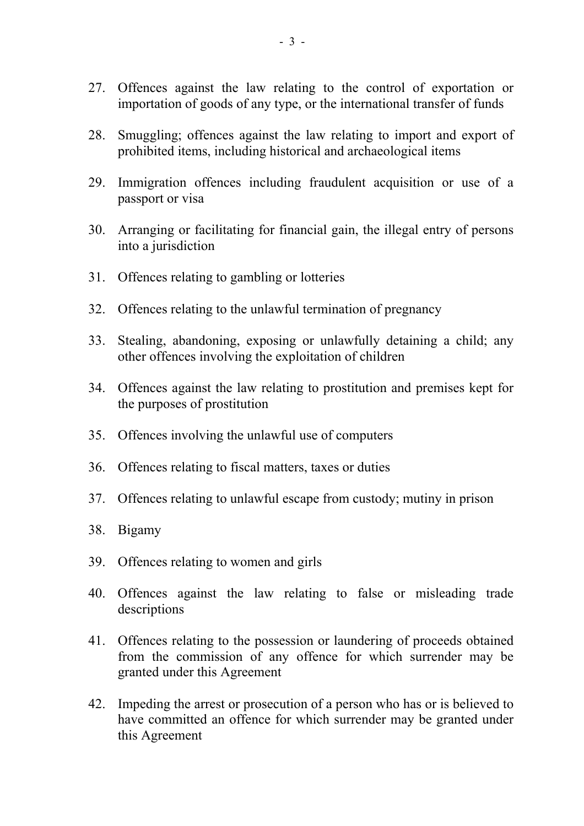- 27. Offences against the law relating to the control of exportation or importation of goods of any type, or the international transfer of funds
- 28. Smuggling; offences against the law relating to import and export of prohibited items, including historical and archaeological items
- 29. Immigration offences including fraudulent acquisition or use of a passport or visa
- 30. Arranging or facilitating for financial gain, the illegal entry of persons into a jurisdiction
- 31. Offences relating to gambling or lotteries
- 32. Offences relating to the unlawful termination of pregnancy
- 33. Stealing, abandoning, exposing or unlawfully detaining a child; any other offences involving the exploitation of children
- 34. Offences against the law relating to prostitution and premises kept for the purposes of prostitution
- 35. Offences involving the unlawful use of computers
- 36. Offences relating to fiscal matters, taxes or duties
- 37. Offences relating to unlawful escape from custody; mutiny in prison
- 38. Bigamy
- 39. Offences relating to women and girls
- 40. Offences against the law relating to false or misleading trade descriptions
- 41. Offences relating to the possession or laundering of proceeds obtained from the commission of any offence for which surrender may be granted under this Agreement
- 42. Impeding the arrest or prosecution of a person who has or is believed to have committed an offence for which surrender may be granted under this Agreement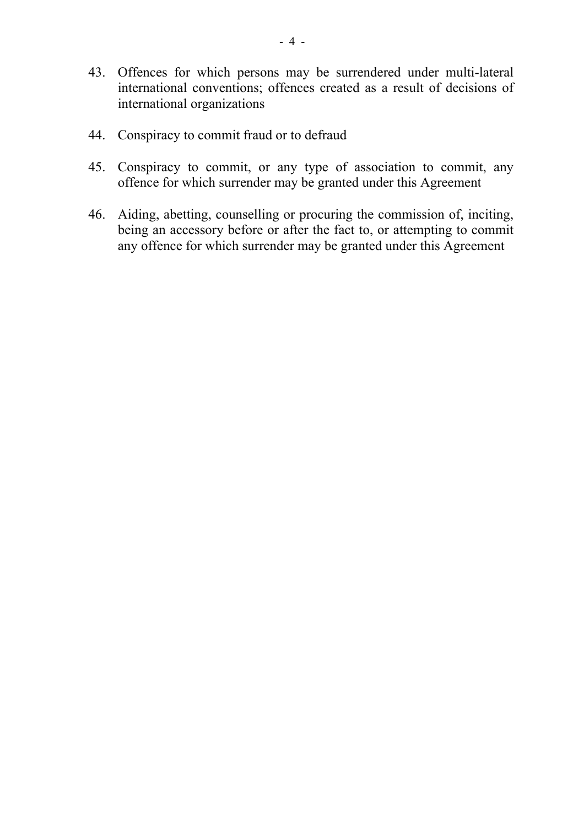- 43. Offences for which persons may be surrendered under multi-lateral international conventions; offences created as a result of decisions of international organizations
- 44. Conspiracy to commit fraud or to defraud
- 45. Conspiracy to commit, or any type of association to commit, any offence for which surrender may be granted under this Agreement
- 46. Aiding, abetting, counselling or procuring the commission of, inciting, being an accessory before or after the fact to, or attempting to commit any offence for which surrender may be granted under this Agreement